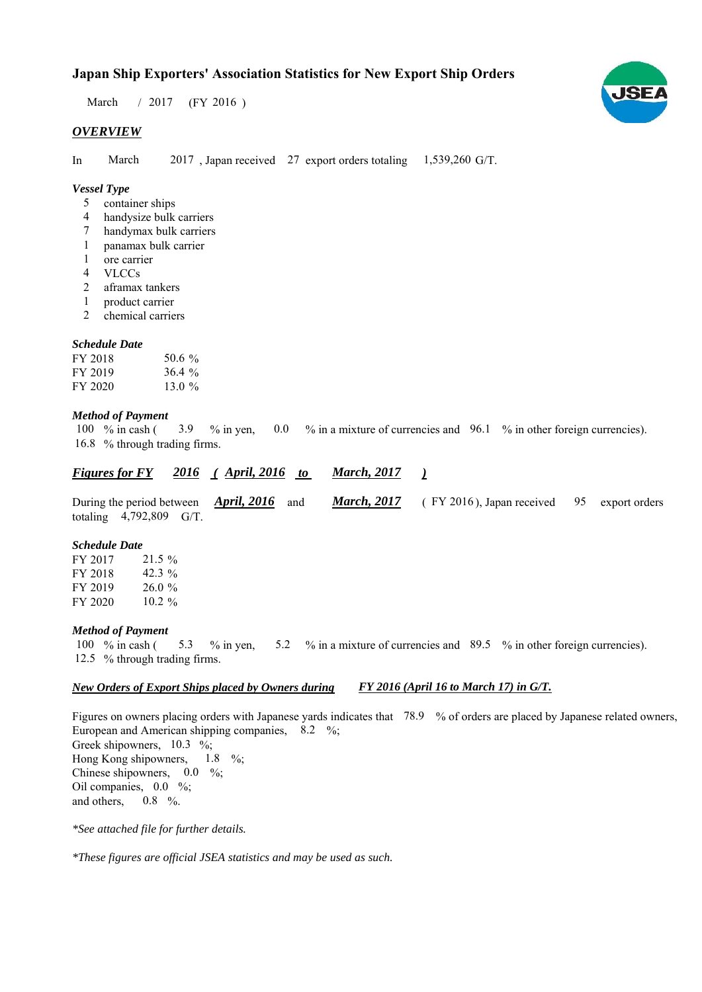# **Japan Ship Exporters' Association Statistics for New Export Ship Orders**

 $/ 2017$  (FY 2016) March

#### *OVERVIEW*

In March  $2017$ , Japan received 27 export orders totaling  $1,539,260$  G/T. March

## *Vessel Type*

- container ships 5
- handysize bulk carriers 4
- handymax bulk carriers 7
- panamax bulk carrier 1
- ore carrier 1
- VLCCs 4
- aframax tankers 2
- product carrier 1
- chemical carriers 2

## *Schedule Date*

| FY 2018 | 50.6 $\%$ |
|---------|-----------|
| FY 2019 | $36.4 \%$ |
| FY 2020 | 13.0 $\%$ |

#### *Method of Payment*

% in cash ( $\frac{3.9}{8}$  % in yen, 0.0 % in a mixture of currencies and 96.1 % in other foreign currencies). 16.8 % through trading firms. 3.9 100  $%$  in cash (

#### *<u><i>Figures for FY* 2016 (April, 2016 to March, 2017)</u> *March, 2017*

|                           | During the period between $\rightarrow$ April, 2016 and |  | <b>March, 2017</b> (FY 2016), Japan received 95 export orders |  |
|---------------------------|---------------------------------------------------------|--|---------------------------------------------------------------|--|
| totaling $4,792,809$ G/T. |                                                         |  |                                                               |  |

#### *Schedule Date*

FY 2017 FY 2018 FY 2019 FY 2020  $26.0%$  $21.5%$ 42.3 %  $10.2 \%$ 

#### *Method of Payment*

% in cash ( $\frac{5.3}{8}$  % in yen,  $\frac{5.2}{8}$  % in a mixture of currencies and  $\frac{89.5}{8}$  % in other foreign currencies). 12.5 % through trading firms. 100 % in cash ( $5.3$  % in yen,  $5.2$ 

#### *New Orders of Export Ships placed by Owners during FY 2016 (April 16 to March 17) in G/T.*

Figures on owners placing orders with Japanese yards indicates that 78.9 % of orders are placed by Japanese related owners, European and American shipping companies,  $8.2\%$ ; Greek shipowners,  $10.3 \, \%$ ;Hong Kong shipowners, Chinese shipowners,  $0.0\%$ ; Oil companies,  $0.0\%$ ; and others,  $1.8\%$  $0.8\%$ .

*\*See attached file for further details.*

*\*These figures are official JSEA statistics and may be used as such.*

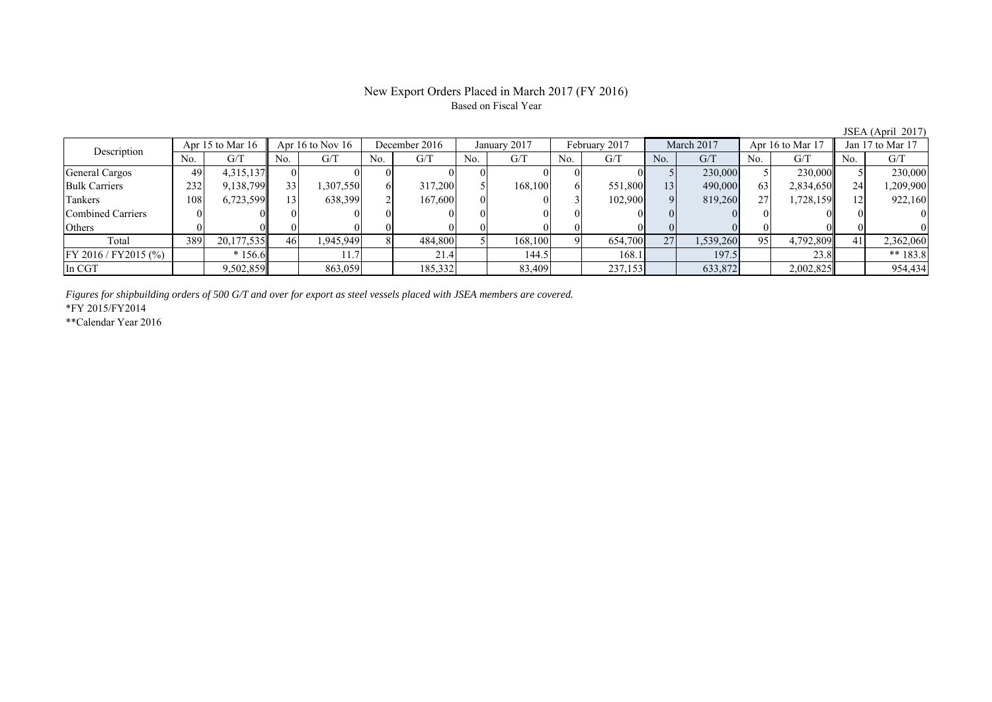## New Export Orders Placed in March 2017 (FY 2016) Based on Fiscal Year

JSEA (April 2017)<br>Jan 17 to Mar 17 No. G/T No. G/T No. G/T No. G/T No. G/T No. G/T No. G/T No. G/T General Cargos (199 4,315,137 0 0 0 0 0 0 0 0 0 0 0 0 0 5 230,000 5 230,000 5 230,000 Bulk Carriers 1 232 9,138,799 33 1,307,550 6 317,200 5 168,100 6 551,800 13 490,000 63 2,834,650 24 1,209,900 Tankers | 108 | 6,723,599 | 13 | 638,399 | 2 | 167,600 | 0 | 0 | 3 | 102,900 | 9 | 819,260 | 27 | 1,728,159 | 12 | 922,160 Combined Carriers 0 0 0 0 0 0 0 0 0 0 0 0 0 0 0 0 Others | 0 | 0 || 0 || 0 || 0 || 0 || 0 || 0 || 0 || 0 || 0 | Total 389 20,177,535 46 1,945,949 8 484,800 5 168,100 9 654,700 27 1,539,260 95 4,792,809 41 2,362,060 FY 2016 / FY2015 (%) \* 156.6 11.7 21.4 144.5 168.1 197.5 23.8 \*\* 183.8 In CGT | | 9,502,859|| | 863,059| | 185,332| | 83,409| | 237,153| | 633,872| | 2,002,825|| | 954,434 Description Apr 15 to Mar 16 Apr 16 to Nov 16 December 2016 January 2017<br>No. 6/T No. 6/T No. 6/T No. 6/T February 2017 March 2017 Apr 16 to Mar 17

*Figures for shipbuilding orders of 500 G/T and over for export as steel vessels placed with JSEA members are covered.*

\*FY 2015/FY2014

\*\*Calendar Year 2016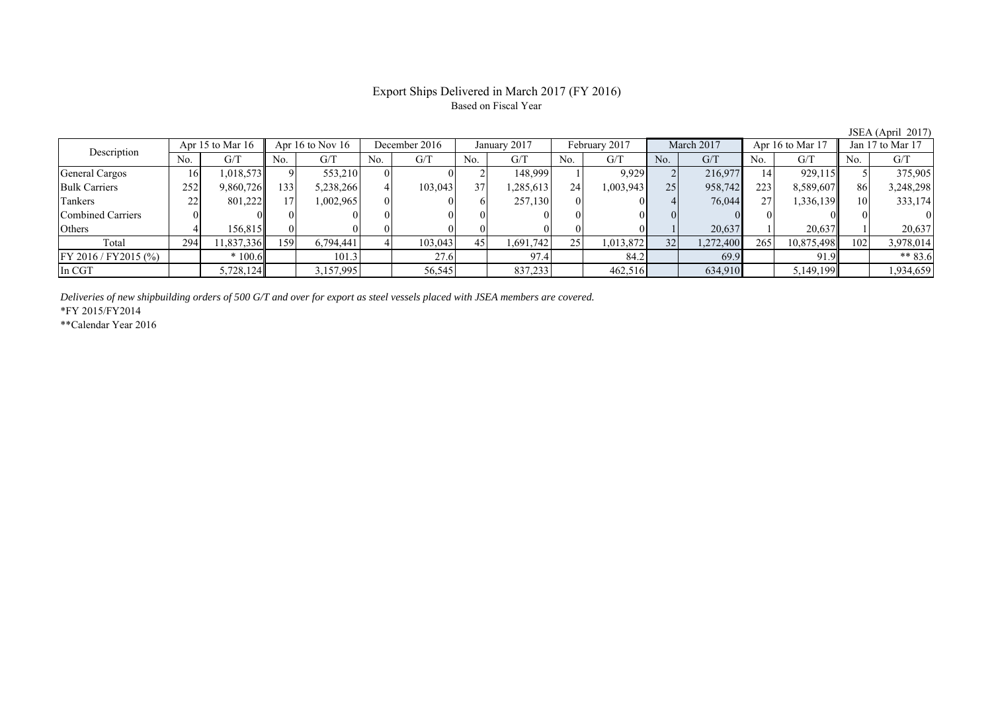# Export Ships Delivered in March 2017 (FY 2016) Based on Fiscal Year

| Description          | Apr 15 to Mar $16$ |           |     | Apr 16 to Nov $16$ |          | December 2016 |                 | January 2017            |     | February 2017 |     | March 2017 |     | Apr 16 to Mar 17 |     | Jan 17 to Mar 17 |  |
|----------------------|--------------------|-----------|-----|--------------------|----------|---------------|-----------------|-------------------------|-----|---------------|-----|------------|-----|------------------|-----|------------------|--|
|                      | No.                | G/T       | No. | G/T                | No.      | G/T           | No.             | $\mathrm{G}/\mathrm{T}$ | No. | G/T           | No. | G/T        | No. | G/T              | No. | G/T              |  |
| General Cargos       | 16                 | 1,018,573 |     | 553,210            | $\Omega$ |               |                 | 148,999                 |     | 9,929         |     | 216,977    | 14  | 929,115          |     | 375,905          |  |
| <b>Bulk Carriers</b> | 252                | 9,860,726 | 133 | 5,238,266          |          | 103,043       | 37 <sup>1</sup> | .285.613                | 24  | 1,003,943     | 251 | 958,742    | 223 | 8,589,607        | 86  | 3,248,298        |  |
| Tankers              | 22                 | 801,222   |     | 1,002,965          | $\Omega$ |               |                 | 257,130                 |     |               |     | 76,044     | 27  | 1,336,139        |     | 333,174          |  |
| Combined Carriers    |                    |           |     |                    |          |               |                 |                         |     |               |     |            |     |                  |     |                  |  |
| Others               |                    | 156.815II |     |                    |          |               |                 |                         |     |               |     | 20,637     |     | 20.637           |     | 20,637           |  |
| Total                | 294                | 1,837,336 | 159 | 6,794,441          |          | 103,043       | 45              | 1,691,742               | 25  | 1,013,872     | 32  | 1,272,400  | 265 | 10,875,498       | 102 | 3,978,014        |  |
| FY 2016 / FY2015 (%) |                    | $*100.6$  |     | 101.3              |          | 27.6          |                 | 97.4                    |     | 84.2          |     | 69.9       |     | 91.9             |     | $** 83.6$        |  |
| In CGT               |                    | 5,728,124 |     | 3,157,995          |          | 56,545        |                 | 837,233                 |     | 462,516       |     | 634,910    |     | 5,149,199        |     | 1,934,659        |  |

*Deliveries of new shipbuilding orders of 500 G/T and over for export as steel vessels placed with JSEA members are covered.*

\*FY 2015/FY2014

\*\*Calendar Year 2016

JSEA (April 2017)